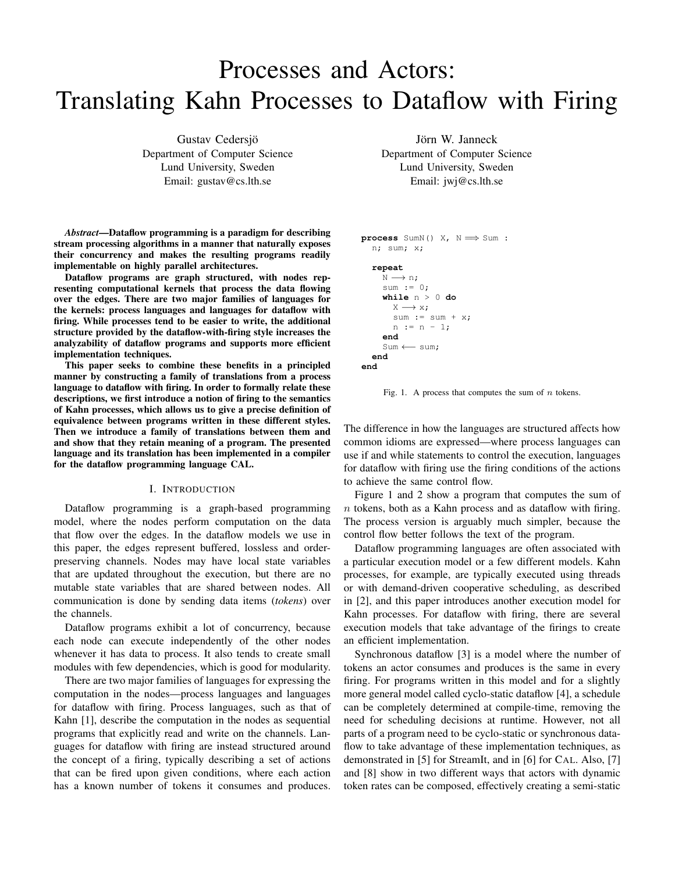# Processes and Actors: Translating Kahn Processes to Dataflow with Firing

Gustav Cedersjö Department of Computer Science Lund University, Sweden Email: gustav@cs.lth.se

*Abstract*—Dataflow programming is a paradigm for describing stream processing algorithms in a manner that naturally exposes their concurrency and makes the resulting programs readily implementable on highly parallel architectures.

Dataflow programs are graph structured, with nodes representing computational kernels that process the data flowing over the edges. There are two major families of languages for the kernels: process languages and languages for dataflow with firing. While processes tend to be easier to write, the additional structure provided by the dataflow-with-firing style increases the analyzability of dataflow programs and supports more efficient implementation techniques.

This paper seeks to combine these benefits in a principled manner by constructing a family of translations from a process language to dataflow with firing. In order to formally relate these descriptions, we first introduce a notion of firing to the semantics of Kahn processes, which allows us to give a precise definition of equivalence between programs written in these different styles. Then we introduce a family of translations between them and and show that they retain meaning of a program. The presented language and its translation has been implemented in a compiler for the dataflow programming language CAL.

## I. INTRODUCTION

Dataflow programming is a graph-based programming model, where the nodes perform computation on the data that flow over the edges. In the dataflow models we use in this paper, the edges represent buffered, lossless and orderpreserving channels. Nodes may have local state variables that are updated throughout the execution, but there are no mutable state variables that are shared between nodes. All communication is done by sending data items (*tokens*) over the channels.

Dataflow programs exhibit a lot of concurrency, because each node can execute independently of the other nodes whenever it has data to process. It also tends to create small modules with few dependencies, which is good for modularity.

There are two major families of languages for expressing the computation in the nodes—process languages and languages for dataflow with firing. Process languages, such as that of Kahn [1], describe the computation in the nodes as sequential programs that explicitly read and write on the channels. Languages for dataflow with firing are instead structured around the concept of a firing, typically describing a set of actions that can be fired upon given conditions, where each action has a known number of tokens it consumes and produces.

Jörn W. Janneck Department of Computer Science Lund University, Sweden Email: jwj@cs.lth.se

```
process SumN() X, N \implies Sum :n; sum; x;
  repeat
     \bar{N} \longrightarrow n;sum := 0;while n > 0 do
       X \longrightarrow x;sum := sum + x;n := n - 1;end
     Sum ←− sum;
  end
end
```
Fig. 1. A process that computes the sum of  $n$  tokens.

The difference in how the languages are structured affects how common idioms are expressed—where process languages can use if and while statements to control the execution, languages for dataflow with firing use the firing conditions of the actions to achieve the same control flow.

Figure 1 and 2 show a program that computes the sum of  $n$  tokens, both as a Kahn process and as dataflow with firing. The process version is arguably much simpler, because the control flow better follows the text of the program.

Dataflow programming languages are often associated with a particular execution model or a few different models. Kahn processes, for example, are typically executed using threads or with demand-driven cooperative scheduling, as described in [2], and this paper introduces another execution model for Kahn processes. For dataflow with firing, there are several execution models that take advantage of the firings to create an efficient implementation.

Synchronous dataflow [3] is a model where the number of tokens an actor consumes and produces is the same in every firing. For programs written in this model and for a slightly more general model called cyclo-static dataflow [4], a schedule can be completely determined at compile-time, removing the need for scheduling decisions at runtime. However, not all parts of a program need to be cyclo-static or synchronous dataflow to take advantage of these implementation techniques, as demonstrated in [5] for StreamIt, and in [6] for CAL. Also, [7] and [8] show in two different ways that actors with dynamic token rates can be composed, effectively creating a semi-static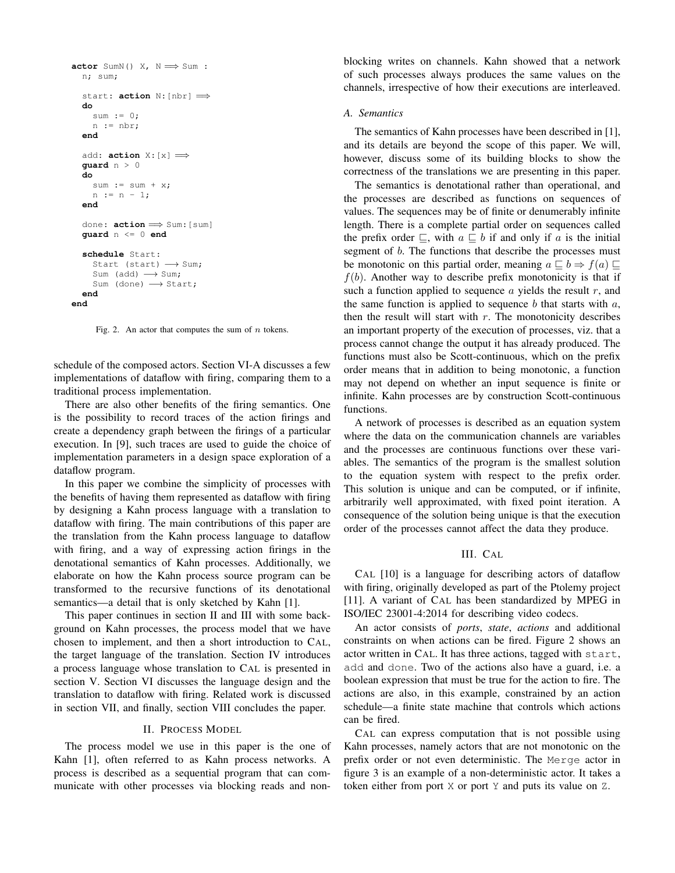```
actorSumN() X, N \Longrightarrow Sum:n; sum;
  start: action N: [nbr] ⇒
  do
    sum := 0;
    n := nbr;end
  add: action X:[x] \impliesguard n > 0
  do
    sum := sum + x;n := n - 1;end
  done: action ⇒ Sum: [sum]
  guard n <= 0 end
  schedule Start:
    Start (start) → Sum:
    Sum (add) \longrightarrow Sum;
    Sum (done) → Start;
  end
end
```
Fig. 2. An actor that computes the sum of  $n$  tokens.

schedule of the composed actors. Section VI-A discusses a few implementations of dataflow with firing, comparing them to a traditional process implementation.

There are also other benefits of the firing semantics. One is the possibility to record traces of the action firings and create a dependency graph between the firings of a particular execution. In [9], such traces are used to guide the choice of implementation parameters in a design space exploration of a dataflow program.

In this paper we combine the simplicity of processes with the benefits of having them represented as dataflow with firing by designing a Kahn process language with a translation to dataflow with firing. The main contributions of this paper are the translation from the Kahn process language to dataflow with firing, and a way of expressing action firings in the denotational semantics of Kahn processes. Additionally, we elaborate on how the Kahn process source program can be transformed to the recursive functions of its denotational semantics—a detail that is only sketched by Kahn [1].

This paper continues in section II and III with some background on Kahn processes, the process model that we have chosen to implement, and then a short introduction to CAL, the target language of the translation. Section IV introduces a process language whose translation to CAL is presented in section V. Section VI discusses the language design and the translation to dataflow with firing. Related work is discussed in section VII, and finally, section VIII concludes the paper.

## II. PROCESS MODEL

The process model we use in this paper is the one of Kahn [1], often referred to as Kahn process networks. A process is described as a sequential program that can communicate with other processes via blocking reads and nonblocking writes on channels. Kahn showed that a network of such processes always produces the same values on the channels, irrespective of how their executions are interleaved.

#### *A. Semantics*

The semantics of Kahn processes have been described in [1], and its details are beyond the scope of this paper. We will, however, discuss some of its building blocks to show the correctness of the translations we are presenting in this paper.

The semantics is denotational rather than operational, and the processes are described as functions on sequences of values. The sequences may be of finite or denumerably infinite length. There is a complete partial order on sequences called the prefix order  $\Box$ , with  $a \Box b$  if and only if a is the initial segment of  $b$ . The functions that describe the processes must be monotonic on this partial order, meaning  $a \sqsubset b \Rightarrow f(a) \sqsubset$  $f(b)$ . Another way to describe prefix monotonicity is that if such a function applied to sequence  $\alpha$  yields the result  $r$ , and the same function is applied to sequence  $b$  that starts with  $a$ , then the result will start with  $r$ . The monotonicity describes an important property of the execution of processes, viz. that a process cannot change the output it has already produced. The functions must also be Scott-continuous, which on the prefix order means that in addition to being monotonic, a function may not depend on whether an input sequence is finite or infinite. Kahn processes are by construction Scott-continuous functions.

A network of processes is described as an equation system where the data on the communication channels are variables and the processes are continuous functions over these variables. The semantics of the program is the smallest solution to the equation system with respect to the prefix order. This solution is unique and can be computed, or if infinite, arbitrarily well approximated, with fixed point iteration. A consequence of the solution being unique is that the execution order of the processes cannot affect the data they produce.

## III. CAL

CAL [10] is a language for describing actors of dataflow with firing, originally developed as part of the Ptolemy project [11]. A variant of CAL has been standardized by MPEG in ISO/IEC 23001-4:2014 for describing video codecs.

An actor consists of *ports*, *state*, *actions* and additional constraints on when actions can be fired. Figure 2 shows an actor written in CAL. It has three actions, tagged with start, add and done. Two of the actions also have a guard, i.e. a boolean expression that must be true for the action to fire. The actions are also, in this example, constrained by an action schedule—a finite state machine that controls which actions can be fired.

CAL can express computation that is not possible using Kahn processes, namely actors that are not monotonic on the prefix order or not even deterministic. The Merge actor in figure 3 is an example of a non-deterministic actor. It takes a token either from port X or port Y and puts its value on Z.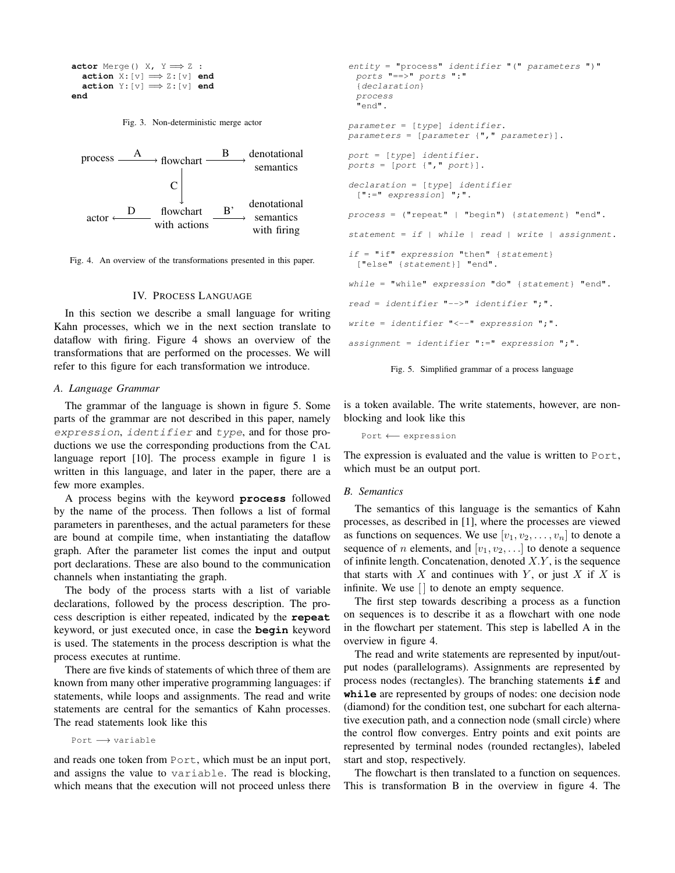```
actor Merge() X, Y \implies Z :
  action X: [v] \implies Z: [v] end
  action Y:[v] =⇒ Z:[v] end
end
```
Fig. 3. Non-deterministic merge actor



Fig. 4. An overview of the transformations presented in this paper.

# IV. PROCESS LANGUAGE

In this section we describe a small language for writing Kahn processes, which we in the next section translate to dataflow with firing. Figure 4 shows an overview of the transformations that are performed on the processes. We will refer to this figure for each transformation we introduce.

## *A. Language Grammar*

The grammar of the language is shown in figure 5. Some parts of the grammar are not described in this paper, namely expression, identifier and type, and for those productions we use the corresponding productions from the CAL language report [10]. The process example in figure 1 is written in this language, and later in the paper, there are a few more examples.

A process begins with the keyword **process** followed by the name of the process. Then follows a list of formal parameters in parentheses, and the actual parameters for these are bound at compile time, when instantiating the dataflow graph. After the parameter list comes the input and output port declarations. These are also bound to the communication channels when instantiating the graph.

The body of the process starts with a list of variable declarations, followed by the process description. The process description is either repeated, indicated by the **repeat** keyword, or just executed once, in case the **begin** keyword is used. The statements in the process description is what the process executes at runtime.

There are five kinds of statements of which three of them are known from many other imperative programming languages: if statements, while loops and assignments. The read and write statements are central for the semantics of Kahn processes. The read statements look like this

Port → variable

and reads one token from Port, which must be an input port, and assigns the value to variable. The read is blocking, which means that the execution will not proceed unless there

```
entity = "process" identifier "(" parameters ")"
 ports "==>" ports ":"
  {declaration}
 process
  "end".
parameter = [type] identifier.
parameters = [parameter {\n, " parameter}],port = [type] identifier.
ports = [port {\n, " port }].
declaration = [type] identifier
 [":=" expression] ";".
process = ("repeat" | "begin" | "begin" | "setatement" | "start = "end" .statement = if | while | read | write | assignment.
if = "if" expression "then" {statement}["else" {statement}] "end".
while = "while" expression "do" {statement} "end".
read = identifier "-->" identifier ";".
write = identifier "<--" expression ";".
assignment = identifier " := " expression " : ".
```


is a token available. The write statements, however, are nonblocking and look like this

Port ←− expression

The expression is evaluated and the value is written to Port, which must be an output port.

#### *B. Semantics*

The semantics of this language is the semantics of Kahn processes, as described in [1], where the processes are viewed as functions on sequences. We use  $[v_1, v_2, \ldots, v_n]$  to denote a sequence of *n* elements, and  $[v_1, v_2, \ldots]$  to denote a sequence of infinite length. Concatenation, denoted  $X.Y$ , is the sequence that starts with  $X$  and continues with  $Y$ , or just  $X$  if  $X$  is infinite. We use  $\lfloor \cdot \rfloor$  to denote an empty sequence.

The first step towards describing a process as a function on sequences is to describe it as a flowchart with one node in the flowchart per statement. This step is labelled A in the overview in figure 4.

The read and write statements are represented by input/output nodes (parallelograms). Assignments are represented by process nodes (rectangles). The branching statements **if** and **while** are represented by groups of nodes: one decision node (diamond) for the condition test, one subchart for each alternative execution path, and a connection node (small circle) where the control flow converges. Entry points and exit points are represented by terminal nodes (rounded rectangles), labeled start and stop, respectively.

The flowchart is then translated to a function on sequences. This is transformation B in the overview in figure 4. The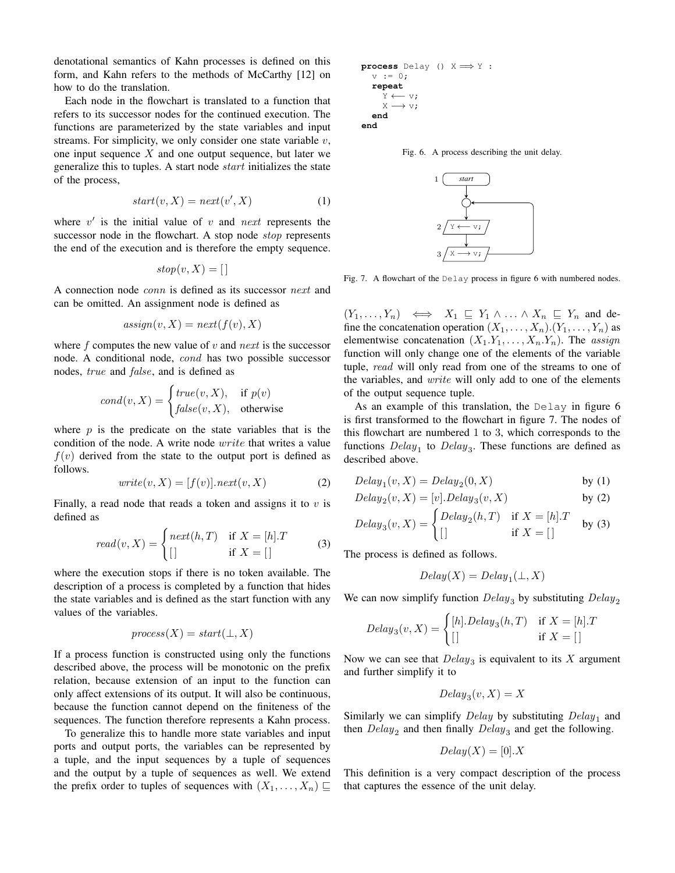denotational semantics of Kahn processes is defined on this form, and Kahn refers to the methods of McCarthy [12] on how to do the translation.

Each node in the flowchart is translated to a function that refers to its successor nodes for the continued execution. The functions are parameterized by the state variables and input streams. For simplicity, we only consider one state variable  $v$ , one input sequence  $X$  and one output sequence, but later we generalize this to tuples. A start node start initializes the state of the process,

$$
start(v, X) = next(v', X)
$$
 (1)

where  $v'$  is the initial value of  $v$  and next represents the successor node in the flowchart. A stop node *stop* represents the end of the execution and is therefore the empty sequence.

$$
stop(v, X) = []
$$

A connection node conn is defined as its successor next and can be omitted. An assignment node is defined as

$$
assign(v, X) = next(f(v), X)
$$

where  $f$  computes the new value of  $v$  and next is the successor node. A conditional node, cond has two possible successor nodes, true and false, and is defined as

$$
cond(v, X) = \begin{cases} true(v, X), & \text{if } p(v) \\ false(v, X), & \text{otherwise} \end{cases}
$$

where  $p$  is the predicate on the state variables that is the condition of the node. A write node write that writes a value  $f(v)$  derived from the state to the output port is defined as follows.

$$
write(v, X) = [f(v)].next(v, X)
$$
\n(2)

Finally, a read node that reads a token and assigns it to  $v$  is defined as

$$
read(v, X) = \begin{cases} next(h, T) & \text{if } X = [h].T \\ [] & \text{if } X = [] \end{cases}
$$
 (3)

where the execution stops if there is no token available. The description of a process is completed by a function that hides the state variables and is defined as the start function with any values of the variables.

$$
process(X) = start(\bot, X)
$$

If a process function is constructed using only the functions described above, the process will be monotonic on the prefix relation, because extension of an input to the function can only affect extensions of its output. It will also be continuous, because the function cannot depend on the finiteness of the sequences. The function therefore represents a Kahn process.

To generalize this to handle more state variables and input ports and output ports, the variables can be represented by a tuple, and the input sequences by a tuple of sequences and the output by a tuple of sequences as well. We extend the prefix order to tuples of sequences with  $(X_1, \ldots, X_n) \sqsubseteq$ 

| process Delay         | () X $\Longrightarrow$ Y : |
|-----------------------|----------------------------|
| $\forall$ := 0;       |                            |
| repeat                | $\forall$ $\forall$ ;      |
| $\forall$ $\forall$ ; |                            |
| $\forall$ $\forall$ ; |                            |
| and                   |                            |





Fig. 7. A flowchart of the Delay process in figure 6 with numbered nodes.

 $(Y_1, \ldots, Y_n) \iff X_1 \sqsubseteq Y_1 \land \ldots \land X_n \sqsubseteq Y_n$  and define the concatenation operation  $(X_1, \ldots, X_n)$ .  $(Y_1, \ldots, Y_n)$  as elementwise concatenation  $(X_1, Y_1, \ldots, X_n, Y_n)$ . The assign function will only change one of the elements of the variable tuple, read will only read from one of the streams to one of the variables, and write will only add to one of the elements of the output sequence tuple.

As an example of this translation, the Delay in figure 6 is first transformed to the flowchart in figure 7. The nodes of this flowchart are numbered 1 to 3, which corresponds to the functions  $Delay_1$  to  $Delay_3$ . These functions are defined as described above.

$$
Delay_1(v, X) = Delay_2(0, X)
$$
 by (1)

$$
Delay_2(v, X) = [v].Delay_3(v, X)
$$
 by (2)

$$
Delay_3(v, X) = \begin{cases} Delay_2(h, T) & \text{if } X = [h].T \\ [] & \text{if } X = [] \end{cases} \text{ by (3)}
$$

The process is defined as follows.

$$
Delay(X) = Delay_1(\perp, X)
$$

We can now simplify function  $Delay_3$  by substituting  $Delay_2$ 

$$
Delay_3(v, X) = \begin{cases} [h].Delay_3(h, T) & \text{if } X = [h].T\\ [] & \text{if } X = [] \end{cases}
$$

Now we can see that  $Delay_3$  is equivalent to its X argument and further simplify it to

$$
Delay_3(v, X) = X
$$

Similarly we can simplify  $Delay$  by substituting  $Delay_1$  and then  $Delay_2$  and then finally  $Delay_3$  and get the following.

$$
Delay(X) = [0].X
$$

This definition is a very compact description of the process that captures the essence of the unit delay.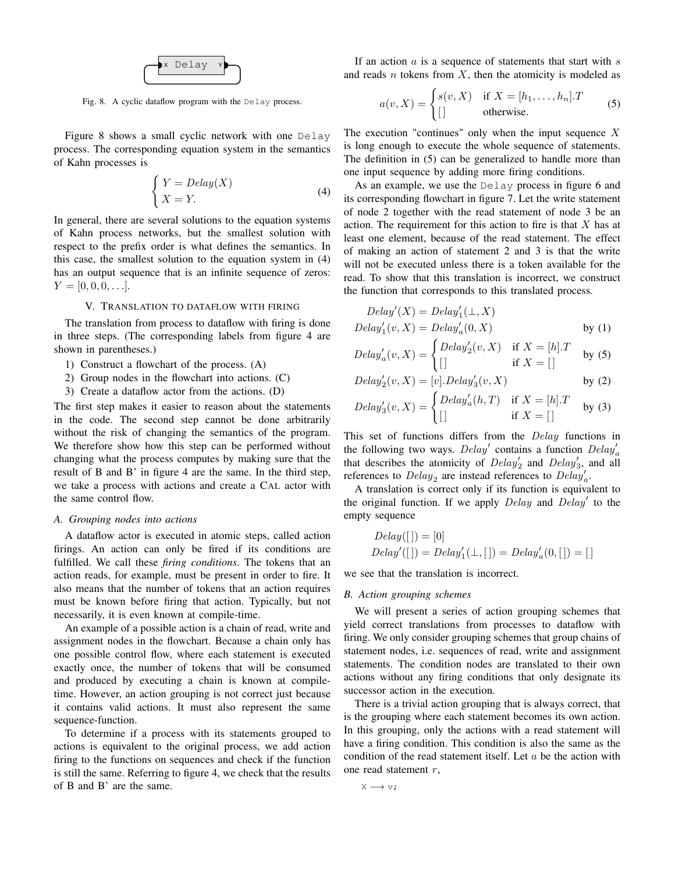

Fig. 8. A cyclic dataflow program with the Delay process.

Figure 8 shows a small cyclic network with one Delay process. The corresponding equation system in the semantics of Kahn processes is

$$
\begin{cases}\nY = Delay(X) \\
X = Y.\n\end{cases} \tag{4}
$$

In general, there are several solutions to the equation systems of Kahn process networks, but the smallest solution with respect to the prefix order is what defines the semantics. In this case, the smallest solution to the equation system in (4) has an output sequence that is an infinite sequence of zeros:  $Y = [0, 0, 0, \ldots].$ 

#### V. TRANSLATION TO DATAFLOW WITH FIRING

The translation from process to dataflow with firing is done in three steps. (The corresponding labels from figure 4 are shown in parentheses.)

- 1) Construct a flowchart of the process. (A)
- 2) Group nodes in the flowchart into actions. (C)
- 3) Create a dataflow actor from the actions. (D)

The first step makes it easier to reason about the statements in the code. The second step cannot be done arbitrarily without the risk of changing the semantics of the program. We therefore show how this step can be performed without changing what the process computes by making sure that the result of B and B' in figure 4 are the same. In the third step, we take a process with actions and create a CAL actor with the same control flow.

## *A. Grouping nodes into actions*

A dataflow actor is executed in atomic steps, called action firings. An action can only be fired if its conditions are fulfilled. We call these *firing conditions*. The tokens that an action reads, for example, must be present in order to fire. It also means that the number of tokens that an action requires must be known before firing that action. Typically, but not necessarily, it is even known at compile-time.

An example of a possible action is a chain of read, write and assignment nodes in the flowchart. Because a chain only has one possible control flow, where each statement is executed exactly once, the number of tokens that will be consumed and produced by executing a chain is known at compiletime. However, an action grouping is not correct just because it contains valid actions. It must also represent the same sequence-function.

To determine if a process with its statements grouped to actions is equivalent to the original process, we add action firing to the functions on sequences and check if the function is still the same. Referring to figure 4, we check that the results of B and B' are the same.

If an action  $a$  is a sequence of statements that start with  $s$ and reads  $n$  tokens from  $X$ , then the atomicity is modeled as

$$
a(v, X) = \begin{cases} s(v, X) & \text{if } X = [h_1, \dots, h_n].T \\ [] & \text{otherwise.} \end{cases}
$$
 (5)

The execution "continues" only when the input sequence  $X$ is long enough to execute the whole sequence of statements. The definition in (5) can be generalized to handle more than one input sequence by adding more firing conditions.

As an example, we use the Delay process in figure 6 and its corresponding flowchart in figure 7. Let the write statement of node 2 together with the read statement of node 3 be an action. The requirement for this action to fire is that  $X$  has at least one element, because of the read statement. The effect of making an action of statement 2 and 3 is that the write will not be executed unless there is a token available for the read. To show that this translation is incorrect, we construct the function that corresponds to this translated process.

$$
Delay'(X) = Delay'_1(\bot, X)
$$
  

$$
Delay'_1(v, X) = Delay'_a(0, X)
$$
 by (1)

$$
Delay_a'(v, X) = \begin{cases} Delay_2'(v, X) & \text{if } X = [h].T \\ [] & \text{if } X = [] \end{cases} \text{ by (5)}
$$

$$
Delay_2'(v, X) = [v].Delay_3'(v, X)
$$
 by (2)

$$
Delay_3'(v, X) = \begin{cases} Delay_a'(h, T) & \text{if } X = [h].T \\ [] & \text{if } X = [] \end{cases} \text{ by (3)}
$$

This set of functions differs from the Delay functions in the following two ways. Delay' contains a function  $Delay'_a$ that describes the atomicity of  $Delay_2'$  and  $Delay_3'$ , and all references to  $Delay_2$  are instead references to  $Delay'_a$ .

A translation is correct only if its function is equivalent to the original function. If we apply  $Delay$  and  $Delay'$  to the empty sequence

$$
Delay([[)] = [0]
$$
  

$$
Delay'([[)] = Delay'_1(\perp, []) = Delay'_a(0, []) = []
$$

we see that the translation is incorrect.

## *B. Action grouping schemes*

We will present a series of action grouping schemes that yield correct translations from processes to dataflow with firing. We only consider grouping schemes that group chains of statement nodes, i.e. sequences of read, write and assignment statements. The condition nodes are translated to their own actions without any firing conditions that only designate its successor action in the execution.

There is a trivial action grouping that is always correct, that is the grouping where each statement becomes its own action. In this grouping, only the actions with a read statement will have a firing condition. This condition is also the same as the condition of the read statement itself. Let  $a$  be the action with one read statement  $r$ ,

$$
X\longrightarrow v\mathbin{;}
$$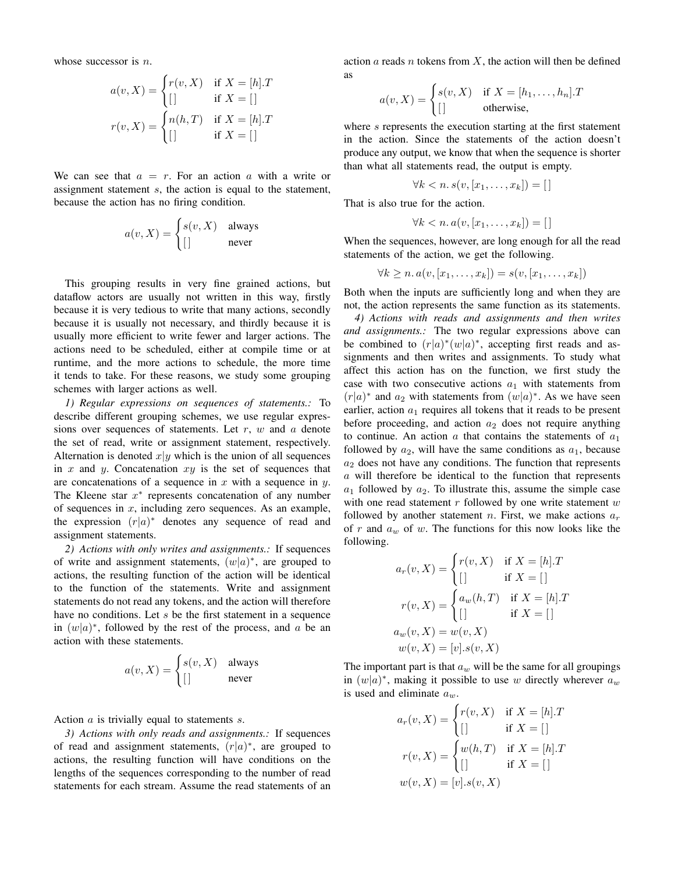whose successor is  $n$ .

$$
a(v, X) = \begin{cases} r(v, X) & \text{if } X = [h].T\\ \begin{bmatrix} \begin{bmatrix} \end{bmatrix} & \text{if } X = [\end{bmatrix} \end{cases}
$$

$$
r(v, X) = \begin{cases} n(h, T) & \text{if } X = [h].T\\ \begin{bmatrix} \end{bmatrix} & \text{if } X = [\end{bmatrix}
$$

We can see that  $a = r$ . For an action a with a write or assignment statement s, the action is equal to the statement, because the action has no firing condition.

$$
a(v, X) = \begin{cases} s(v, X) & \text{always} \\ [] & \text{never} \end{cases}
$$

This grouping results in very fine grained actions, but dataflow actors are usually not written in this way, firstly because it is very tedious to write that many actions, secondly because it is usually not necessary, and thirdly because it is usually more efficient to write fewer and larger actions. The actions need to be scheduled, either at compile time or at runtime, and the more actions to schedule, the more time it tends to take. For these reasons, we study some grouping schemes with larger actions as well.

*1) Regular expressions on sequences of statements.:* To describe different grouping schemes, we use regular expressions over sequences of statements. Let  $r$ ,  $w$  and  $a$  denote the set of read, write or assignment statement, respectively. Alternation is denoted  $x|y$  which is the union of all sequences in x and y. Concatenation  $xy$  is the set of sequences that are concatenations of a sequence in  $x$  with a sequence in  $y$ . The Kleene star  $x^*$  represents concatenation of any number of sequences in  $x$ , including zero sequences. As an example, the expression  $(r|a)^*$  denotes any sequence of read and assignment statements.

*2) Actions with only writes and assignments.:* If sequences of write and assignment statements,  $(w|a)^*$ , are grouped to actions, the resulting function of the action will be identical to the function of the statements. Write and assignment statements do not read any tokens, and the action will therefore have no conditions. Let s be the first statement in a sequence in  $(w|a)^*$ , followed by the rest of the process, and a be an action with these statements.

$$
a(v, X) = \begin{cases} s(v, X) & \text{always} \\ [] & \text{never} \end{cases}
$$

Action  $a$  is trivially equal to statements  $s$ .

*3) Actions with only reads and assignments.:* If sequences of read and assignment statements,  $(r|a)^*$ , are grouped to actions, the resulting function will have conditions on the lengths of the sequences corresponding to the number of read statements for each stream. Assume the read statements of an action  $a$  reads  $n$  tokens from  $X$ , the action will then be defined as

$$
a(v, X) = \begin{cases} s(v, X) & \text{if } X = [h_1, \dots, h_n].T \\ [ ] & \text{otherwise,} \end{cases}
$$

where s represents the execution starting at the first statement in the action. Since the statements of the action doesn't produce any output, we know that when the sequence is shorter than what all statements read, the output is empty.

$$
\forall k < n. \, s(v, [x_1, \ldots, x_k]) = []
$$

That is also true for the action.

$$
\forall k < n. \, a(v, [x_1, \ldots, x_k]) = []
$$

When the sequences, however, are long enough for all the read statements of the action, we get the following.

$$
\forall k \ge n. a(v, [x_1, \ldots, x_k]) = s(v, [x_1, \ldots, x_k])
$$

Both when the inputs are sufficiently long and when they are not, the action represents the same function as its statements.

*4) Actions with reads and assignments and then writes and assignments.:* The two regular expressions above can be combined to  $(r|a)^*(w|a)^*$ , accepting first reads and assignments and then writes and assignments. To study what affect this action has on the function, we first study the case with two consecutive actions  $a_1$  with statements from  $(r|a)^*$  and  $a_2$  with statements from  $(w|a)^*$ . As we have seen earlier, action  $a_1$  requires all tokens that it reads to be present before proceeding, and action  $a_2$  does not require anything to continue. An action  $a$  that contains the statements of  $a_1$ followed by  $a_2$ , will have the same conditions as  $a_1$ , because  $a_2$  does not have any conditions. The function that represents a will therefore be identical to the function that represents  $a_1$  followed by  $a_2$ . To illustrate this, assume the simple case with one read statement  $r$  followed by one write statement  $w$ followed by another statement n. First, we make actions  $a_r$ of r and  $a_w$  of w. The functions for this now looks like the following.

$$
a_r(v, X) = \begin{cases} r(v, X) & \text{if } X = [h].T\\ \begin{bmatrix} \end{bmatrix} & \text{if } X = \begin{bmatrix} \end{bmatrix} \end{cases}
$$

$$
r(v, X) = \begin{cases} a_w(h, T) & \text{if } X = [h].T\\ \begin{bmatrix} \end{bmatrix} & \text{if } X = \begin{bmatrix} \end{bmatrix} \end{cases}
$$

$$
a_w(v, X) = w(v, X)
$$

$$
w(v, X) = [v].s(v, X)
$$

The important part is that  $a_w$  will be the same for all groupings in  $(w|a)^*$ , making it possible to use w directly wherever  $a_w$ is used and eliminate  $a_w$ .

$$
a_r(v, X) = \begin{cases} r(v, X) & \text{if } X = [h].T\\ \begin{bmatrix} \end{bmatrix} & \text{if } X = \begin{bmatrix} \end{bmatrix} \\ r(v, X) = \begin{cases} w(h, T) & \text{if } X = [h].T\\ \begin{bmatrix} \end{bmatrix} & \text{if } X = \begin{bmatrix} \end{bmatrix} \end{cases}
$$

$$
w(v, X) = [v].s(v, X)
$$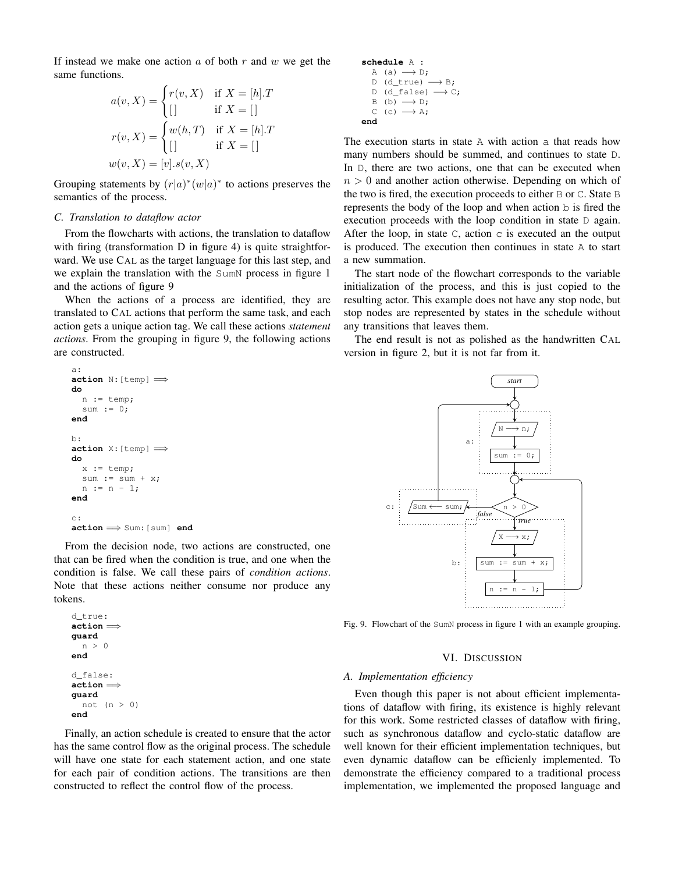If instead we make one action  $a$  of both  $r$  and  $w$  we get the same functions.

$$
a(v, X) = \begin{cases} r(v, X) & \text{if } X = [h].T\\ \begin{bmatrix} \end{bmatrix} & \text{if } X = \begin{bmatrix} \end{bmatrix} \\ r(v, X) = \begin{cases} w(h, T) & \text{if } X = [h].T\\ \begin{bmatrix} \end{bmatrix} & \text{if } X = \begin{bmatrix} \end{bmatrix} \end{cases}
$$

$$
w(v, X) = [v].s(v, X)
$$

Grouping statements by  $(r|a)^*(w|a)^*$  to actions preserves the semantics of the process.

# *C. Translation to dataflow actor*

From the flowcharts with actions, the translation to dataflow with firing (transformation D in figure 4) is quite straightforward. We use CAL as the target language for this last step, and we explain the translation with the SumN process in figure 1 and the actions of figure 9

When the actions of a process are identified, they are translated to CAL actions that perform the same task, and each action gets a unique action tag. We call these actions *statement actions*. From the grouping in figure 9, the following actions are constructed.

```
a:
action N:[temp] ⇒
do
  n := temp;
  sum := 0;
end
b:
action X:[temp] \impliesdo
  x := temp;
  sum := sum + x;
  n := n - 1;end
c:
action =⇒ Sum:[sum] end
```
From the decision node, two actions are constructed, one that can be fired when the condition is true, and one when the condition is false. We call these pairs of *condition actions*. Note that these actions neither consume nor produce any tokens.

```
d_true:
action ⇒
guard
  n > 0
end
d_false:
action \impliesguard
  not (n > 0)end
```
Finally, an action schedule is created to ensure that the actor has the same control flow as the original process. The schedule will have one state for each statement action, and one state for each pair of condition actions. The transitions are then constructed to reflect the control flow of the process.

**schedule** A : A (a)  $\longrightarrow$  D; D (d true)  $\longrightarrow$  B; D (d\_false)  $\longrightarrow$  C;  $B$  (b)  $\longrightarrow D$ ;  $C$  (c)  $\longrightarrow$  A: **end**

The execution starts in state A with action a that reads how many numbers should be summed, and continues to state D. In D, there are two actions, one that can be executed when  $n > 0$  and another action otherwise. Depending on which of the two is fired, the execution proceeds to either B or C. State B represents the body of the loop and when action b is fired the execution proceeds with the loop condition in state D again. After the loop, in state  $C$ , action  $C$  is executed an the output is produced. The execution then continues in state A to start a new summation.

The start node of the flowchart corresponds to the variable initialization of the process, and this is just copied to the resulting actor. This example does not have any stop node, but stop nodes are represented by states in the schedule without any transitions that leaves them.

The end result is not as polished as the handwritten CAL version in figure 2, but it is not far from it.



Fig. 9. Flowchart of the SumN process in figure 1 with an example grouping.

## VI. DISCUSSION

# *A. Implementation efficiency*

Even though this paper is not about efficient implementations of dataflow with firing, its existence is highly relevant for this work. Some restricted classes of dataflow with firing, such as synchronous dataflow and cyclo-static dataflow are well known for their efficient implementation techniques, but even dynamic dataflow can be efficienly implemented. To demonstrate the efficiency compared to a traditional process implementation, we implemented the proposed language and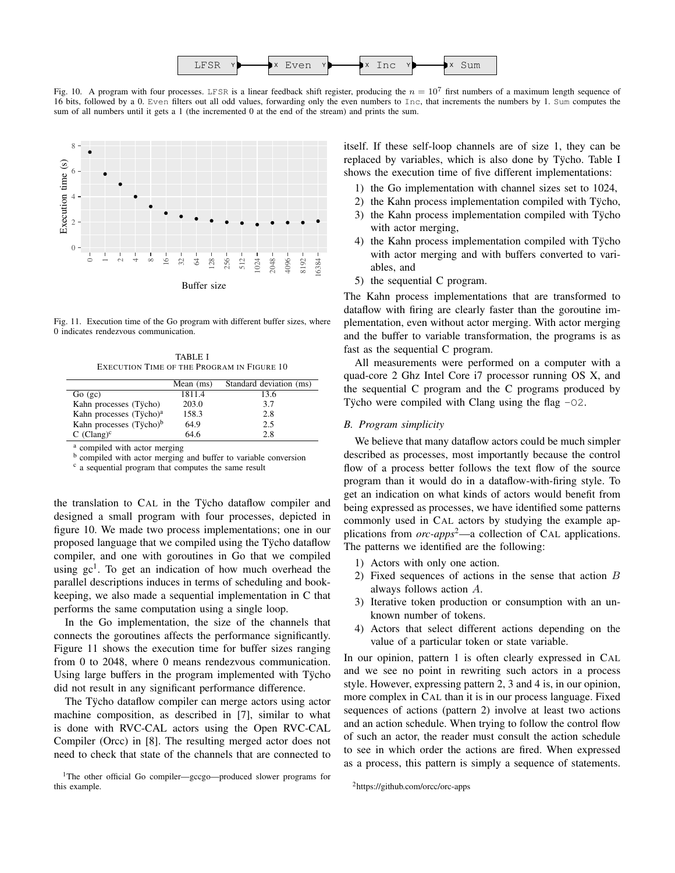

Fig. 10. A program with four processes. LFSR is a linear feedback shift register, producing the  $n = 10^7$  first numbers of a maximum length sequence of 16 bits, followed by a 0. Even filters out all odd values, forwarding only the even numbers to Inc, that increments the numbers by 1. Sum computes the sum of all numbers until it gets a 1 (the incremented 0 at the end of the stream) and prints the sum.



Fig. 11. Execution time of the Go program with different buffer sizes, where 0 indicates rendezvous communication.

TABLE I EXECUTION TIME OF THE PROGRAM IN FIGURE 10

|                                     | Mean $(ms)$ | Standard deviation (ms) |
|-------------------------------------|-------------|-------------------------|
| $Go$ (gc)                           | 1811.4      | 13.6                    |
| Kahn processes (Tÿcho)              | 203.0       | 3.7                     |
| Kahn processes (Tÿcho) <sup>a</sup> | 158.3       | 2.8                     |
| Kahn processes (Tÿcho) <sup>b</sup> | 64.9        | 2.5                     |
| $C$ (Clang) <sup>c</sup>            | 64.6        | 2.8                     |

a compiled with actor merging

**b** compiled with actor merging and buffer to variable conversion

c a sequential program that computes the same result

the translation to CAL in the Tÿcho dataflow compiler and designed a small program with four processes, depicted in figure 10. We made two process implementations; one in our proposed language that we compiled using the Tÿcho dataflow compiler, and one with goroutines in Go that we compiled using gc<sup>1</sup>. To get an indication of how much overhead the parallel descriptions induces in terms of scheduling and bookkeeping, we also made a sequential implementation in C that performs the same computation using a single loop.

In the Go implementation, the size of the channels that connects the goroutines affects the performance significantly. Figure 11 shows the execution time for buffer sizes ranging from 0 to 2048, where 0 means rendezvous communication. Using large buffers in the program implemented with Tÿcho did not result in any significant performance difference.

The Tÿcho dataflow compiler can merge actors using actor machine composition, as described in [7], similar to what is done with RVC-CAL actors using the Open RVC-CAL Compiler (Orcc) in [8]. The resulting merged actor does not need to check that state of the channels that are connected to

<sup>1</sup>The other official Go compiler—gccgo—produced slower programs for this example.

itself. If these self-loop channels are of size 1, they can be replaced by variables, which is also done by Tÿcho. Table I shows the execution time of five different implementations:

- 1) the Go implementation with channel sizes set to 1024,
- 2) the Kahn process implementation compiled with Tÿcho,
- 3) the Kahn process implementation compiled with Tÿcho with actor merging,
- 4) the Kahn process implementation compiled with Tÿcho with actor merging and with buffers converted to variables, and
- 5) the sequential C program.

The Kahn process implementations that are transformed to dataflow with firing are clearly faster than the goroutine implementation, even without actor merging. With actor merging and the buffer to variable transformation, the programs is as fast as the sequential C program.

All measurements were performed on a computer with a quad-core 2 Ghz Intel Core i7 processor running OS X, and the sequential C program and the C programs produced by Tycho were compiled with Clang using the flag  $-02$ .

# *B. Program simplicity*

We believe that many dataflow actors could be much simpler described as processes, most importantly because the control flow of a process better follows the text flow of the source program than it would do in a dataflow-with-firing style. To get an indication on what kinds of actors would benefit from being expressed as processes, we have identified some patterns commonly used in CAL actors by studying the example applications from *orc-apps*<sup>2</sup>—a collection of CAL applications. The patterns we identified are the following:

- 1) Actors with only one action.
- 2) Fixed sequences of actions in the sense that action B always follows action A.
- 3) Iterative token production or consumption with an unknown number of tokens.
- 4) Actors that select different actions depending on the value of a particular token or state variable.

In our opinion, pattern 1 is often clearly expressed in CAL and we see no point in rewriting such actors in a process style. However, expressing pattern 2, 3 and 4 is, in our opinion, more complex in CAL than it is in our process language. Fixed sequences of actions (pattern 2) involve at least two actions and an action schedule. When trying to follow the control flow of such an actor, the reader must consult the action schedule to see in which order the actions are fired. When expressed as a process, this pattern is simply a sequence of statements.

<sup>2</sup>https://github.com/orcc/orc-apps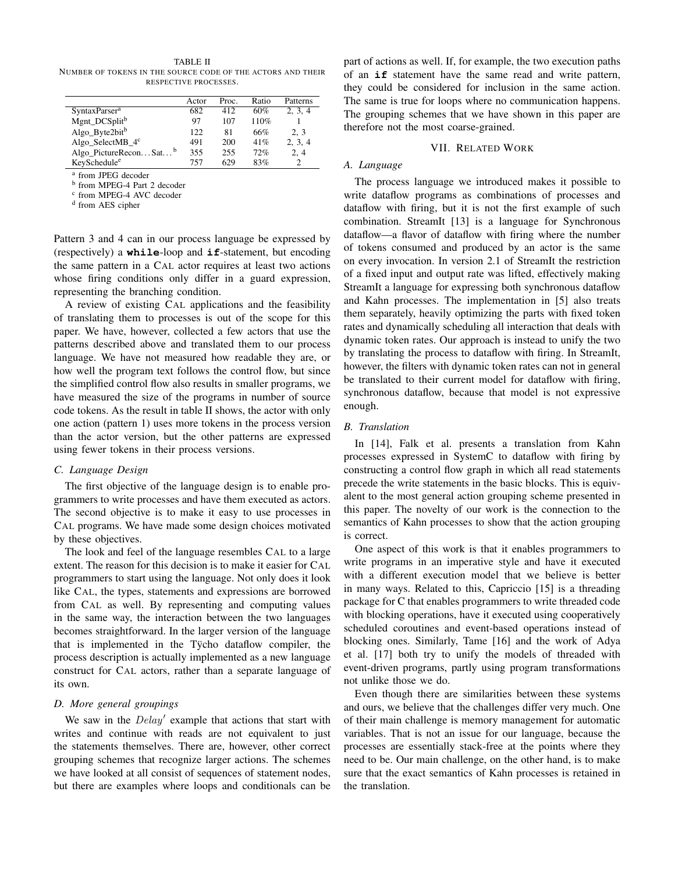TABLE II NUMBER OF TOKENS IN THE SOURCE CODE OF THE ACTORS AND THEIR RESPECTIVE PROCESSES.

|                                      | Actor | Proc. | Ratio | Patterns |
|--------------------------------------|-------|-------|-------|----------|
| SyntaxParser <sup>a</sup>            | 682   | 412   | 60%   | 2, 3, 4  |
| Mgnt_DCSplit <sup>b</sup>            | 97    | 107   | 110%  |          |
| $Algo_B$ yte $2bitb$                 | 122   | 81    | 66%   | 2, 3     |
| Algo SelectMB 4 <sup>c</sup>         | 491   | 200   | 41%   | 2, 3, 4  |
| Algo_PictureRecon $Sat$ <sup>b</sup> | 355   | 255   | 72%   | 2, 4     |
| KeySchedule <sup>e</sup>             | 757   | 629   | 83%   | 2        |

a from JPEG decoder

b from MPEG-4 Part 2 decoder

c from MPEG-4 AVC decoder

<sup>d</sup> from AES cipher

Pattern 3 and 4 can in our process language be expressed by (respectively) a **while**-loop and **if**-statement, but encoding the same pattern in a CAL actor requires at least two actions whose firing conditions only differ in a guard expression, representing the branching condition.

A review of existing CAL applications and the feasibility of translating them to processes is out of the scope for this paper. We have, however, collected a few actors that use the patterns described above and translated them to our process language. We have not measured how readable they are, or how well the program text follows the control flow, but since the simplified control flow also results in smaller programs, we have measured the size of the programs in number of source code tokens. As the result in table II shows, the actor with only one action (pattern 1) uses more tokens in the process version than the actor version, but the other patterns are expressed using fewer tokens in their process versions.

# *C. Language Design*

The first objective of the language design is to enable programmers to write processes and have them executed as actors. The second objective is to make it easy to use processes in CAL programs. We have made some design choices motivated by these objectives.

The look and feel of the language resembles CAL to a large extent. The reason for this decision is to make it easier for CAL programmers to start using the language. Not only does it look like CAL, the types, statements and expressions are borrowed from CAL as well. By representing and computing values in the same way, the interaction between the two languages becomes straightforward. In the larger version of the language that is implemented in the Tÿcho dataflow compiler, the process description is actually implemented as a new language construct for CAL actors, rather than a separate language of its own.

# *D. More general groupings*

We saw in the  $Delay'$  example that actions that start with writes and continue with reads are not equivalent to just the statements themselves. There are, however, other correct grouping schemes that recognize larger actions. The schemes we have looked at all consist of sequences of statement nodes, but there are examples where loops and conditionals can be

part of actions as well. If, for example, the two execution paths of an **if** statement have the same read and write pattern, they could be considered for inclusion in the same action. The same is true for loops where no communication happens. The grouping schemes that we have shown in this paper are therefore not the most coarse-grained.

# VII. RELATED WORK

# *A. Language*

The process language we introduced makes it possible to write dataflow programs as combinations of processes and dataflow with firing, but it is not the first example of such combination. StreamIt [13] is a language for Synchronous dataflow—a flavor of dataflow with firing where the number of tokens consumed and produced by an actor is the same on every invocation. In version 2.1 of StreamIt the restriction of a fixed input and output rate was lifted, effectively making StreamIt a language for expressing both synchronous dataflow and Kahn processes. The implementation in [5] also treats them separately, heavily optimizing the parts with fixed token rates and dynamically scheduling all interaction that deals with dynamic token rates. Our approach is instead to unify the two by translating the process to dataflow with firing. In StreamIt, however, the filters with dynamic token rates can not in general be translated to their current model for dataflow with firing, synchronous dataflow, because that model is not expressive enough.

# *B. Translation*

In [14], Falk et al. presents a translation from Kahn processes expressed in SystemC to dataflow with firing by constructing a control flow graph in which all read statements precede the write statements in the basic blocks. This is equivalent to the most general action grouping scheme presented in this paper. The novelty of our work is the connection to the semantics of Kahn processes to show that the action grouping is correct.

One aspect of this work is that it enables programmers to write programs in an imperative style and have it executed with a different execution model that we believe is better in many ways. Related to this, Capriccio [15] is a threading package for C that enables programmers to write threaded code with blocking operations, have it executed using cooperatively scheduled coroutines and event-based operations instead of blocking ones. Similarly, Tame [16] and the work of Adya et al. [17] both try to unify the models of threaded with event-driven programs, partly using program transformations not unlike those we do.

Even though there are similarities between these systems and ours, we believe that the challenges differ very much. One of their main challenge is memory management for automatic variables. That is not an issue for our language, because the processes are essentially stack-free at the points where they need to be. Our main challenge, on the other hand, is to make sure that the exact semantics of Kahn processes is retained in the translation.